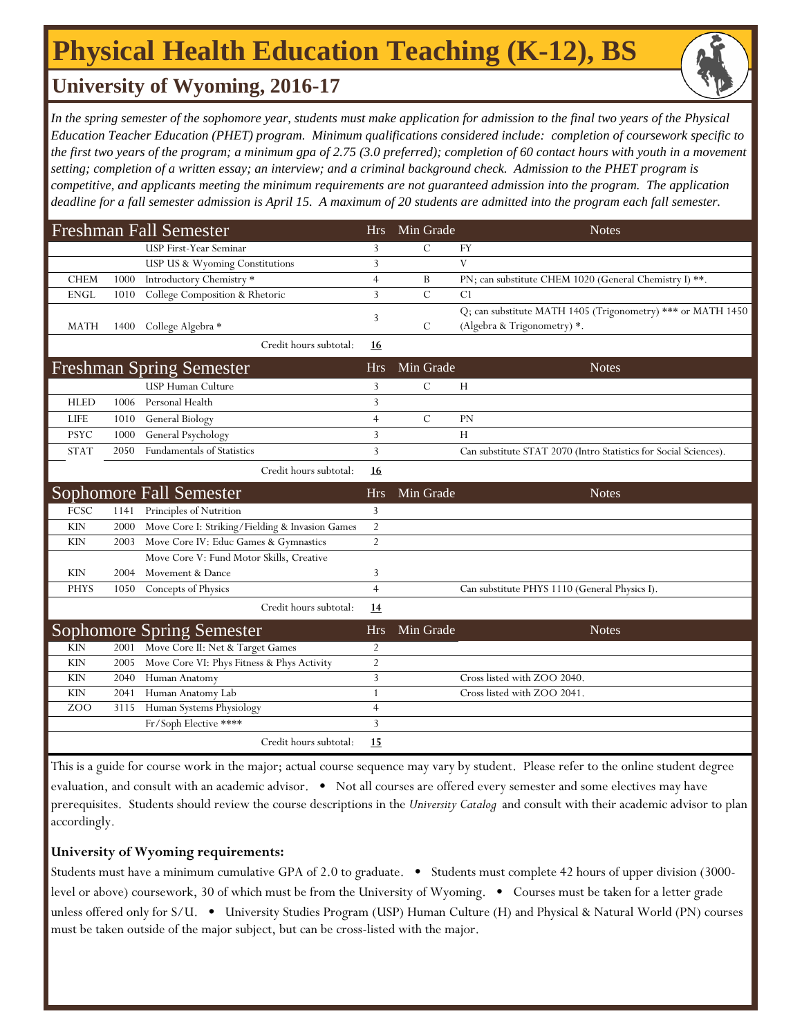# **Physical Health Education Teaching (K-12), BS**

### **University of Wyoming, 2016-17**

In the spring semester of the sophomore year, students must make application for admission to the final two years of the Physical *Education Teacher Education (PHET) program. Minimum qualifications considered include: completion of coursework specific to the first two years of the program; a minimum gpa of 2.75 (3.0 preferred); completion of 60 contact hours with youth in a movement setting; completion of a written essay; an interview; and a criminal background check. Admission to the PHET program is competitive, and applicants meeting the minimum requirements are not guaranteed admission into the program. The application deadline for a fall semester admission is April 15. A maximum of 20 students are admitted into the program each fall semester.*

|                  |      | <b>Freshman Fall Semester</b>                   | <b>Hrs</b>     | Min Grade     | <b>Notes</b>                                                                               |
|------------------|------|-------------------------------------------------|----------------|---------------|--------------------------------------------------------------------------------------------|
|                  |      | <b>USP First-Year Seminar</b>                   | 3              | $\mathcal{C}$ | FY                                                                                         |
|                  |      | USP US & Wyoming Constitutions                  | 3              |               | $\mathbf{V}$                                                                               |
| <b>CHEM</b>      | 1000 | Introductory Chemistry *                        | $\overline{4}$ | B             | PN; can substitute CHEM 1020 (General Chemistry I) **.                                     |
| <b>ENGL</b>      | 1010 | College Composition & Rhetoric                  | 3              | $\mathcal{C}$ | C <sub>1</sub>                                                                             |
| <b>MATH</b>      | 1400 | College Algebra *                               | 3              | C             | Q; can substitute MATH 1405 (Trigonometry) *** or MATH 1450<br>(Algebra & Trigonometry) *. |
|                  |      | Credit hours subtotal:                          | 16             |               |                                                                                            |
|                  |      | <b>Freshman Spring Semester</b>                 | <b>Hrs</b>     | Min Grade     | <b>Notes</b>                                                                               |
|                  |      | <b>USP Human Culture</b>                        | 3              | $\mathcal{C}$ | H                                                                                          |
| <b>HLED</b>      | 1006 | Personal Health                                 | 3              |               |                                                                                            |
| <b>LIFE</b>      | 1010 | General Biology                                 | $\overline{4}$ | $\mathcal{C}$ | PN                                                                                         |
| <b>PSYC</b>      | 1000 | General Psychology                              | 3              |               | H                                                                                          |
| <b>STAT</b>      | 2050 | <b>Fundamentals of Statistics</b>               | 3              |               | Can substitute STAT 2070 (Intro Statistics for Social Sciences).                           |
|                  |      | Credit hours subtotal:                          | 16             |               |                                                                                            |
|                  |      | Sophomore Fall Semester                         | <b>Hrs</b>     | Min Grade     | <b>Notes</b>                                                                               |
| FCSC             | 1141 | Principles of Nutrition                         | 3              |               |                                                                                            |
| <b>KIN</b>       | 2000 | Move Core I: Striking/Fielding & Invasion Games | $\overline{2}$ |               |                                                                                            |
| <b>KIN</b>       | 2003 | Move Core IV: Educ Games & Gymnastics           | $\overline{2}$ |               |                                                                                            |
|                  |      | Move Core V: Fund Motor Skills, Creative        |                |               |                                                                                            |
| <b>KIN</b>       |      |                                                 |                |               |                                                                                            |
|                  | 2004 | Movement & Dance                                | 3              |               |                                                                                            |
| <b>PHYS</b>      | 1050 | Concepts of Physics                             | $\overline{4}$ |               | Can substitute PHYS 1110 (General Physics I).                                              |
|                  |      | Credit hours subtotal:                          | 14             |               |                                                                                            |
|                  |      | <b>Sophomore Spring Semester</b>                | <b>Hrs</b>     | Min Grade     | <b>Notes</b>                                                                               |
| <b>KIN</b>       | 2001 | Move Core II: Net & Target Games                | 2              |               |                                                                                            |
| <b>KIN</b>       | 2005 | Move Core VI: Phys Fitness & Phys Activity      | $\overline{2}$ |               |                                                                                            |
| <b>KIN</b>       | 2040 | Human Anatomy                                   | 3              |               | Cross listed with ZOO 2040.                                                                |
| <b>KIN</b>       | 2041 | Human Anatomy Lab                               | 1              |               | Cross listed with ZOO 2041.                                                                |
| Z <sub>O</sub> O | 3115 | Human Systems Physiology                        | $\overline{4}$ |               |                                                                                            |
|                  |      | Fr/Soph Elective ****                           | 3              |               |                                                                                            |

This is a guide for course work in the major; actual course sequence may vary by student. Please refer to the online student degree evaluation, and consult with an academic advisor. • Not all courses are offered every semester and some electives may have prerequisites. Students should review the course descriptions in the *University Catalog* and consult with their academic advisor to plan accordingly.

#### **University of Wyoming requirements:**

Students must have a minimum cumulative GPA of 2.0 to graduate. • Students must complete 42 hours of upper division (3000 level or above) coursework, 30 of which must be from the University of Wyoming. • Courses must be taken for a letter grade unless offered only for S/U. • University Studies Program (USP) Human Culture (H) and Physical & Natural World (PN) courses must be taken outside of the major subject, but can be cross-listed with the major.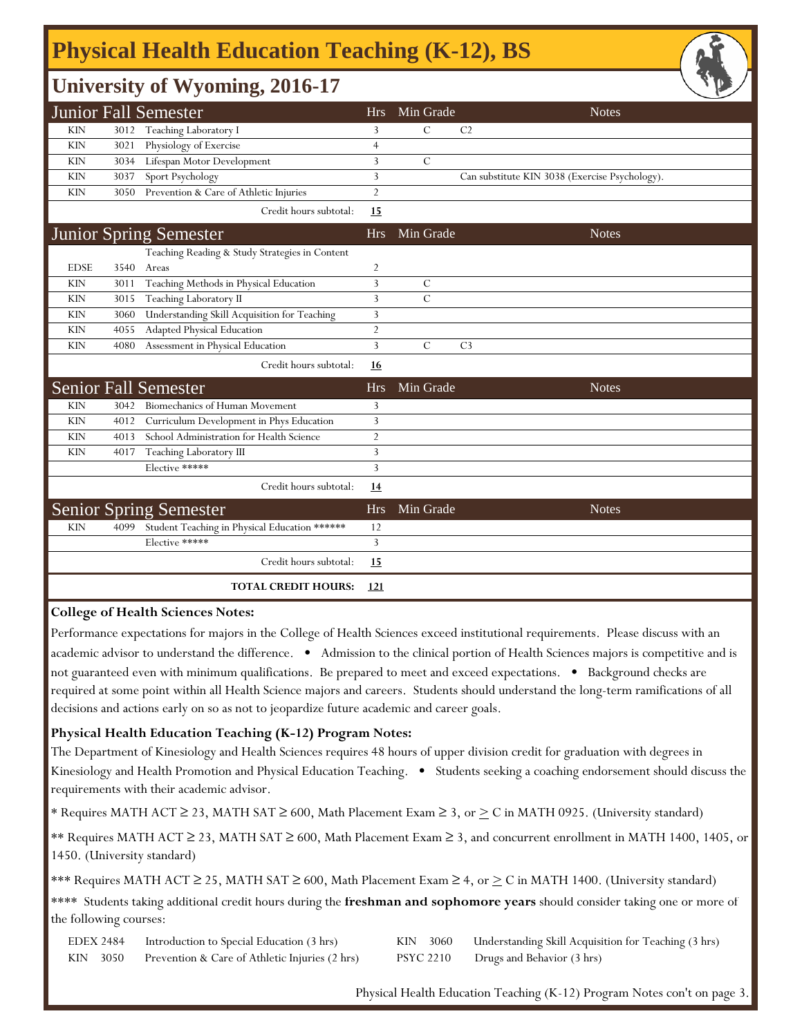# **Physical Health Education Teaching (K-12), BS**

### **University of Wyoming, 2016-17**

|             |      | $\tilde{\phantom{a}}$                          |                |                |                                                | — |
|-------------|------|------------------------------------------------|----------------|----------------|------------------------------------------------|---|
|             |      | Junior Fall Semester                           | <b>Hrs</b>     | Min Grade      | <b>Notes</b>                                   |   |
| <b>KIN</b>  | 3012 | Teaching Laboratory I                          | 3              | $\mathcal{C}$  | C <sub>2</sub>                                 |   |
| <b>KIN</b>  | 3021 | Physiology of Exercise                         | $\overline{4}$ |                |                                                |   |
| <b>KIN</b>  | 3034 | Lifespan Motor Development                     | 3              | $\mathcal{C}$  |                                                |   |
| <b>KIN</b>  | 3037 | Sport Psychology                               | 3              |                | Can substitute KIN 3038 (Exercise Psychology). |   |
| <b>KIN</b>  | 3050 | Prevention & Care of Athletic Injuries         | $\overline{2}$ |                |                                                |   |
|             |      | Credit hours subtotal:                         | 15             |                |                                                |   |
|             |      | <b>Junior Spring Semester</b>                  | <b>Hrs</b>     | Min Grade      | <b>Notes</b>                                   |   |
|             |      | Teaching Reading & Study Strategies in Content |                |                |                                                |   |
| <b>EDSE</b> | 3540 | Areas                                          | $\overline{2}$ |                |                                                |   |
| <b>KIN</b>  | 3011 | Teaching Methods in Physical Education         | 3              | C              |                                                |   |
| <b>KIN</b>  | 3015 | Teaching Laboratory II                         | 3              | $\overline{C}$ |                                                |   |
| <b>KIN</b>  | 3060 | Understanding Skill Acquisition for Teaching   | 3              |                |                                                |   |
| <b>KIN</b>  | 4055 | Adapted Physical Education                     | $\overline{2}$ |                |                                                |   |
| <b>KIN</b>  | 4080 | Assessment in Physical Education               | 3              | $\mathcal{C}$  | C <sub>3</sub>                                 |   |
|             |      | Credit hours subtotal:                         | <u>16</u>      |                |                                                |   |
|             |      | <b>Senior Fall Semester</b>                    | <b>Hrs</b>     | Min Grade      | <b>Notes</b>                                   |   |
| <b>KIN</b>  | 3042 | Biomechanics of Human Movement                 | 3              |                |                                                |   |
| <b>KIN</b>  | 4012 | Curriculum Development in Phys Education       | 3              |                |                                                |   |
| <b>KIN</b>  | 4013 | School Administration for Health Science       | $\overline{2}$ |                |                                                |   |
| <b>KIN</b>  | 4017 | Teaching Laboratory III                        | 3              |                |                                                |   |
|             |      | Elective *****                                 | 3              |                |                                                |   |
|             |      | Credit hours subtotal:                         | 14             |                |                                                |   |
|             |      | <b>Senior Spring Semester</b>                  | <b>Hrs</b>     | Min Grade      | <b>Notes</b>                                   |   |
| <b>KIN</b>  | 4099 | Student Teaching in Physical Education ******  | 12             |                |                                                |   |
|             |      | Elective *****                                 | 3              |                |                                                |   |
|             |      | Credit hours subtotal:                         | 15             |                |                                                |   |
|             |      | <b>TOTAL CREDIT HOURS:</b>                     | 121            |                |                                                |   |
|             |      |                                                |                |                |                                                |   |

#### **College of Health Sciences Notes:**

Performance expectations for majors in the College of Health Sciences exceed institutional requirements. Please discuss with an academic advisor to understand the difference. • Admission to the clinical portion of Health Sciences majors is competitive and is not guaranteed even with minimum qualifications. Be prepared to meet and exceed expectations. • Background checks are required at some point within all Health Science majors and careers. Students should understand the long-term ramifications of all decisions and actions early on so as not to jeopardize future academic and career goals.

#### **Physical Health Education Teaching (K-12) Program Notes:**

The Department of Kinesiology and Health Sciences requires 48 hours of upper division credit for graduation with degrees in Kinesiology and Health Promotion and Physical Education Teaching. • Students seeking a coaching endorsement should discuss the requirements with their academic advisor.

\* Requires MATH ACT ≥ 23, MATH SAT ≥ 600, Math Placement Exam ≥ 3, or  $\geq C$  in MATH 0925. (University standard)

\*\* Requires MATH ACT ≥ 23, MATH SAT ≥ 600, Math Placement Exam ≥ 3, and concurrent enrollment in MATH 1400, 1405, or 1450. (University standard)

\*\*\* Requires MATH ACT ≥ 25, MATH SAT ≥ 600, Math Placement Exam ≥ 4, or  $\geq$  C in MATH 1400. (University standard)

\*\*\*\* Students taking additional credit hours during the **freshman and sophomore years** should consider taking one or more of the following courses:

| EDEX 2484 | Introduction to Special Education (3 hrs)      | KIN 3060 Understanding Skill Acquisition for Teaching (3 hrs) |
|-----------|------------------------------------------------|---------------------------------------------------------------|
| KIN 3050  | Prevention & Care of Athletic Injuries (2 hrs) | PSYC 2210 Drugs and Behavior (3 hrs)                          |

Physical Health Education Teaching (K-12) Program Notes con't on page 3.